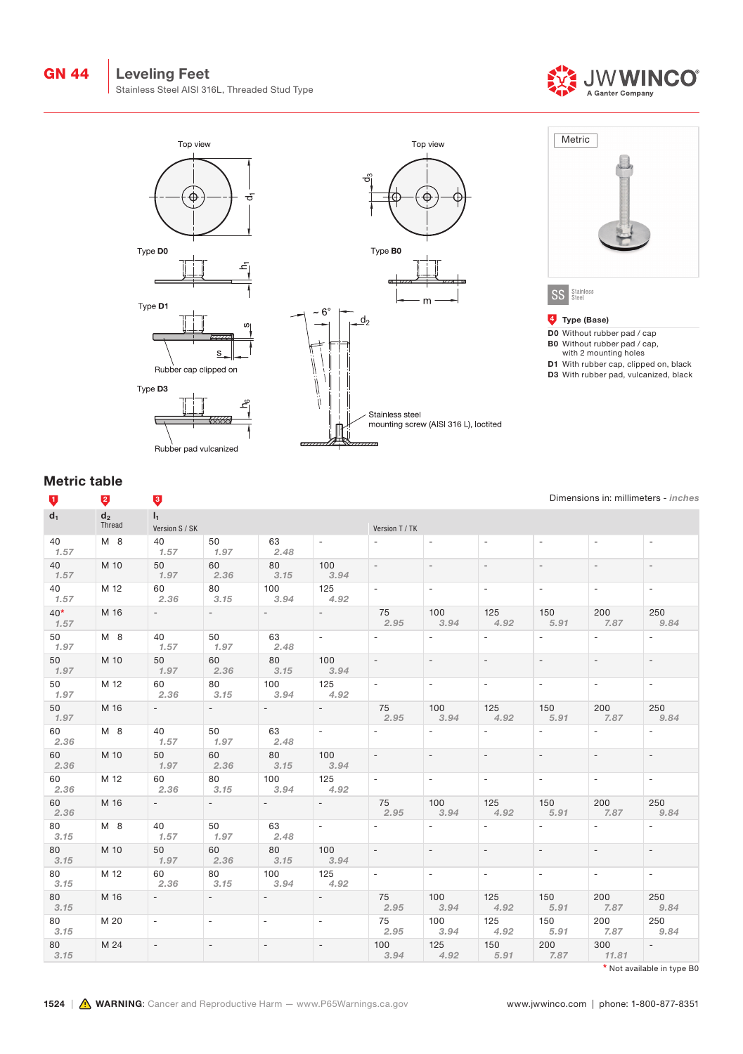



# Metric table

| V              | ą               | Ų                        |                              |                          |                          |                          |                          |                          |                          |                          | Dimensions in: millimeters - inches |  |
|----------------|-----------------|--------------------------|------------------------------|--------------------------|--------------------------|--------------------------|--------------------------|--------------------------|--------------------------|--------------------------|-------------------------------------|--|
| $\mathbf{d}_1$ | $d_2$<br>Thread | $I_1$<br>Version S / SK  |                              |                          |                          | Version T / TK           |                          |                          |                          |                          |                                     |  |
| 40<br>1.57     | M 8             | 40<br>1.57               | 50<br>1.97                   | 63<br>2.48               | $\overline{\phantom{a}}$ | $\blacksquare$           | $\overline{\phantom{a}}$ | $\overline{\phantom{a}}$ | $\overline{\phantom{a}}$ | $\overline{\phantom{a}}$ | $\overline{\phantom{a}}$            |  |
| 40<br>1.57     | M 10            | 50<br>1.97               | 60<br>2.36                   | 80<br>3.15               | 100<br>3.94              | $\overline{\phantom{a}}$ | $\overline{\phantom{a}}$ | $\overline{\phantom{a}}$ | $\overline{\phantom{a}}$ | $\overline{\phantom{a}}$ | $\overline{\phantom{a}}$            |  |
| 40<br>1.57     | M 12            | 60<br>2.36               | 80<br>3.15                   | 100<br>3.94              | 125<br>4.92              | $\overline{\phantom{a}}$ | $\overline{\phantom{a}}$ | $\overline{\phantom{a}}$ | $\overline{\phantom{a}}$ | $\overline{\phantom{a}}$ | $\overline{\phantom{a}}$            |  |
| $40*$<br>1.57  | M 16            | $\sim$                   | $\overline{\phantom{a}}$     | $\overline{\phantom{a}}$ | $\sim$                   | 75<br>2.95               | 100<br>3.94              | 125<br>4.92              | 150<br>5.91              | 200<br>7.87              | 250<br>9.84                         |  |
| 50<br>1.97     | M 8             | 40<br>1.57               | 50<br>1.97                   | 63<br>2.48               | $\overline{\phantom{a}}$ | $\overline{\phantom{a}}$ | $\overline{\phantom{a}}$ | $\overline{\phantom{a}}$ | $\equiv$                 | $\blacksquare$           | $\mathcal{L}$                       |  |
| 50<br>1.97     | M 10            | 50<br>1.97               | 60<br>2.36                   | 80<br>3.15               | 100<br>3.94              | $\overline{\phantom{0}}$ | $\overline{\phantom{a}}$ | $\overline{\phantom{a}}$ | $\overline{\phantom{a}}$ | $\overline{\phantom{a}}$ | $\overline{\phantom{a}}$            |  |
| 50<br>1.97     | M 12            | 60<br>2.36               | 80<br>3.15                   | 100<br>3.94              | 125<br>4.92              | $\overline{\phantom{a}}$ | $\overline{\phantom{a}}$ | $\overline{\phantom{a}}$ | $\overline{\phantom{a}}$ | $\overline{\phantom{a}}$ | $\overline{\phantom{a}}$            |  |
| 50<br>1.97     | M 16            | $\overline{a}$           | $\overline{\phantom{a}}$     | $\mathcal{L}$            | $\overline{a}$           | 75<br>2.95               | 100<br>3.94              | 125<br>4.92              | 150<br>5.91              | 200<br>7.87              | 250<br>9.84                         |  |
| 60<br>2.36     | M 8             | 40<br>1.57               | 50<br>1.97                   | 63<br>2.48               | $\overline{\phantom{a}}$ | $\blacksquare$           | $\overline{\phantom{a}}$ | $\overline{\phantom{a}}$ | $\overline{\phantom{a}}$ | $\overline{\phantom{a}}$ | $\overline{\phantom{a}}$            |  |
| 60<br>2.36     | M 10            | 50<br>1.97               | 60<br>2.36                   | 80<br>3.15               | 100<br>3.94              | $\overline{\phantom{a}}$ | $\overline{\phantom{a}}$ | $\overline{\phantom{a}}$ | $\overline{\phantom{a}}$ | $\overline{\phantom{a}}$ | $\overline{\phantom{a}}$            |  |
| 60<br>2.36     | M 12            | 60<br>2.36               | 80<br>3.15                   | 100<br>3.94              | 125<br>4.92              | $\overline{\phantom{0}}$ | $\overline{\phantom{a}}$ | $\overline{\phantom{a}}$ | $\overline{\phantom{a}}$ | $\overline{\phantom{a}}$ | $\overline{\phantom{a}}$            |  |
| 60<br>2.36     | M 16            | $\overline{\phantom{0}}$ | $\sim$                       | $\sim$ 10 $\pm$          | $\omega_{\rm{max}}$      | 75<br>2.95               | 100<br>3.94              | 125<br>4.92              | 150<br>5.91              | 200<br>7.87              | 250<br>9.84                         |  |
| 80<br>3.15     | M 8             | 40<br>1.57               | 50<br>1.97                   | 63<br>2.48               | $\overline{\phantom{0}}$ | $\overline{\phantom{a}}$ | $\overline{\phantom{a}}$ | $\overline{\phantom{a}}$ | $\overline{\phantom{0}}$ | $\overline{\phantom{a}}$ | $\mathcal{L}$                       |  |
| 80<br>3.15     | M 10            | 50<br>1.97               | 60<br>2.36                   | 80<br>3.15               | 100<br>3.94              | $\overline{\phantom{0}}$ | $\overline{\phantom{a}}$ | $\overline{\phantom{a}}$ | $\overline{\phantom{a}}$ | $\overline{\phantom{a}}$ | $\overline{\phantom{a}}$            |  |
| 80<br>3.15     | M 12            | 60<br>2.36               | 80<br>3.15                   | 100<br>3.94              | 125<br>4.92              | $\overline{\phantom{a}}$ | $\overline{\phantom{a}}$ | $\overline{\phantom{a}}$ | $\overline{\phantom{a}}$ | $\overline{\phantom{a}}$ | $\equiv$                            |  |
| 80<br>3.15     | M 16            | $\overline{\phantom{0}}$ | $\overline{\phantom{a}}$     | $\overline{\phantom{a}}$ | $\overline{\phantom{0}}$ | 75<br>2.95               | 100<br>3.94              | 125<br>4.92              | 150<br>5.91              | 200<br>7.87              | 250<br>9.84                         |  |
| 80<br>3.15     | M 20            | $\overline{\phantom{a}}$ | $\qquad \qquad \blacksquare$ | $\overline{\phantom{0}}$ | $\overline{\phantom{0}}$ | 75<br>2.95               | 100<br>3.94              | 125<br>4.92              | 150<br>5.91              | 200<br>7.87              | 250<br>9.84                         |  |
| 80<br>3.15     | M 24            | $\overline{\phantom{0}}$ | $\overline{\phantom{a}}$     | $\overline{\phantom{a}}$ | $\overline{\phantom{a}}$ | 100<br>3.94              | 125<br>4.92              | 150<br>5.91              | 200<br>7.87              | 300<br>11.81             | $\mathbb{L}$                        |  |

\* Not available in type B0

Dimensions in: millimeters - inches